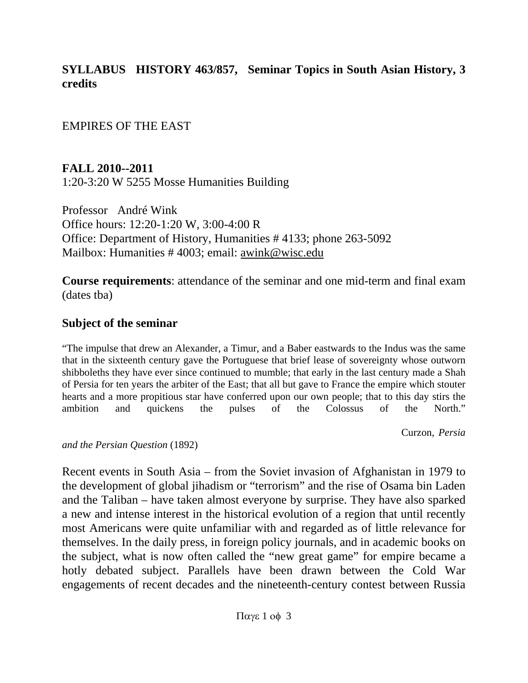**SYLLABUS HISTORY 463/857, Seminar Topics in South Asian History, 3 credits**

EMPIRES OF THE EAST

**FALL 2010--2011**

1:20-3:20 W 5255 Mosse Humanities Building

Professor André Wink Office hours: 12:20-1:20 W, 3:00-4:00 R Office: Department of History, Humanities # 4133; phone 263-5092 Mailbox: Humanities # 4003; email: awink@wisc.edu

**Course requirements**: attendance of the seminar and one mid-term and final exam (dates tba)

### **Subject of the seminar**

"The impulse that drew an Alexander, a Timur, and a Baber eastwards to the Indus was the same that in the sixteenth century gave the Portuguese that brief lease of sovereignty whose outworn shibboleths they have ever since continued to mumble; that early in the last century made a Shah of Persia for ten years the arbiter of the East; that all but gave to France the empire which stouter hearts and a more propitious star have conferred upon our own people; that to this day stirs the ambition and quickens the pulses of the Colossus of the North."

Curzon, *Persia* 

*and the Persian Question* (1892)

Recent events in South Asia – from the Soviet invasion of Afghanistan in 1979 to the development of global jihadism or "terrorism" and the rise of Osama bin Laden and the Taliban – have taken almost everyone by surprise. They have also sparked a new and intense interest in the historical evolution of a region that until recently most Americans were quite unfamiliar with and regarded as of little relevance for themselves. In the daily press, in foreign policy journals, and in academic books on the subject, what is now often called the "new great game" for empire became a hotly debated subject. Parallels have been drawn between the Cold War engagements of recent decades and the nineteenth-century contest between Russia